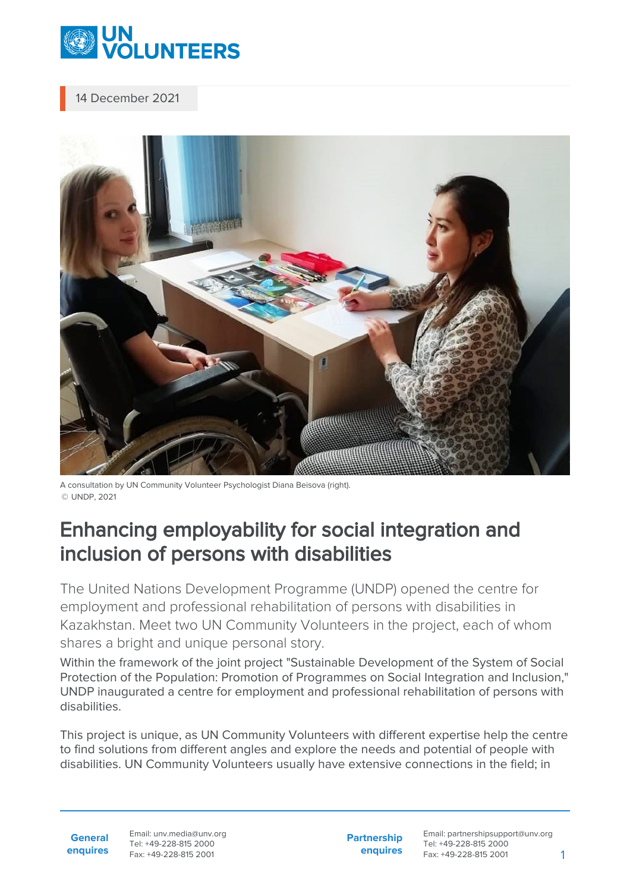

14 December 2021



A consultation by UN Community Volunteer Psychologist Diana Beisova (right). © UNDP, 2021

## Enhancing employability for social integration and inclusion of persons with disabilities

The United Nations Development Programme (UNDP) opened the centre for employment and professional rehabilitation of persons with disabilities in Kazakhstan. Meet two UN Community Volunteers in the project, each of whom shares a bright and unique personal story.

Within the framework of the joint project "Sustainable Development of the System of Social Protection of the Population: Promotion of Programmes on Social Integration and Inclusion," UNDP inaugurated a centre for employment and professional rehabilitation of persons with disabilities.

This project is unique, as UN Community Volunteers with different expertise help the centre to find solutions from different angles and explore the needs and potential of people with disabilities. UN Community Volunteers usually have extensive connections in the field; in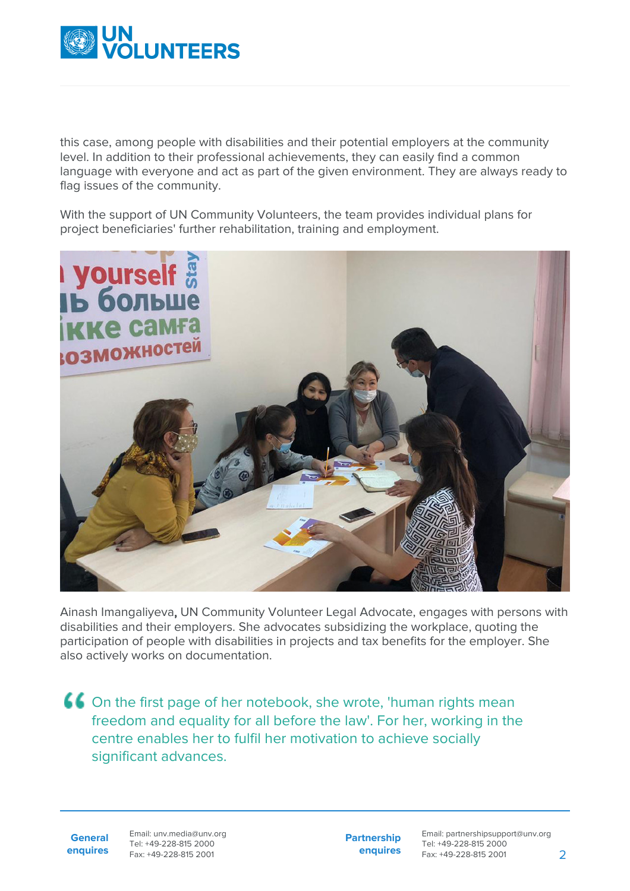

this case, among people with disabilities and their potential employers at the community level. In addition to their professional achievements, they can easily find a common language with everyone and act as part of the given environment. They are always ready to flag issues of the community.

With the support of UN Community Volunteers, the team provides individual plans for project beneficiaries' further rehabilitation, training and employment.



Ainash Imangaliyeva, UN Community Volunteer Legal Advocate, engages with persons with disabilities and their employers. She advocates subsidizing the workplace, quoting the participation of people with disabilities in projects and tax benefits for the employer. She also actively works on documentation.

On the first page of her notebook, she wrote, 'human rights mean freedom and equality for all before the law'. For her, working in the centre enables her to fulfil her motivation to achieve socially significant advances.

**General enquires** Email: unv.media@unv.org Tel: +49-228-815 2000 Fax: +49-228-815 2001

**Partnership enquires**

Email: partnershipsupport@unv.org Tel: +49-228-815 2000 Fax: +49-228-815 2001 2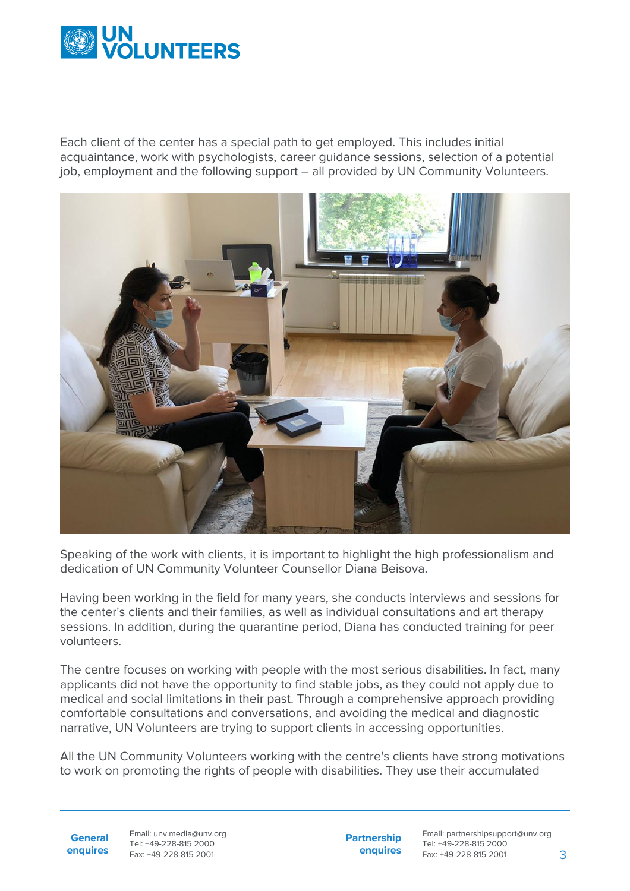

Each client of the center has a special path to get employed. This includes initial acquaintance, work with psychologists, career guidance sessions, selection of a potential job, employment and the following support – all provided by UN Community Volunteers.



Speaking of the work with clients, it is important to highlight the high professionalism and dedication of UN Community Volunteer Counsellor Diana Beisova.

Having been working in the field for many years, she conducts interviews and sessions for the center's clients and their families, as well as individual consultations and art therapy sessions. In addition, during the quarantine period, Diana has conducted training for peer volunteers.

The centre focuses on working with people with the most serious disabilities. In fact, many applicants did not have the opportunity to find stable jobs, as they could not apply due to medical and social limitations in their past. Through a comprehensive approach providing comfortable consultations and conversations, and avoiding the medical and diagnostic narrative, UN Volunteers are trying to support clients in accessing opportunities.

All the UN Community Volunteers working with the centre's clients have strong motivations to work on promoting the rights of people with disabilities. They use their accumulated

**General enquires** Email: unv.media@unv.org Tel: +49-228-815 2000 Fax: +49-228-815 2001

**Partnership enquires**

Email: partnershipsupport@unv.org Tel: +49-228-815 2000 Fax: +49-228-815 2001 3